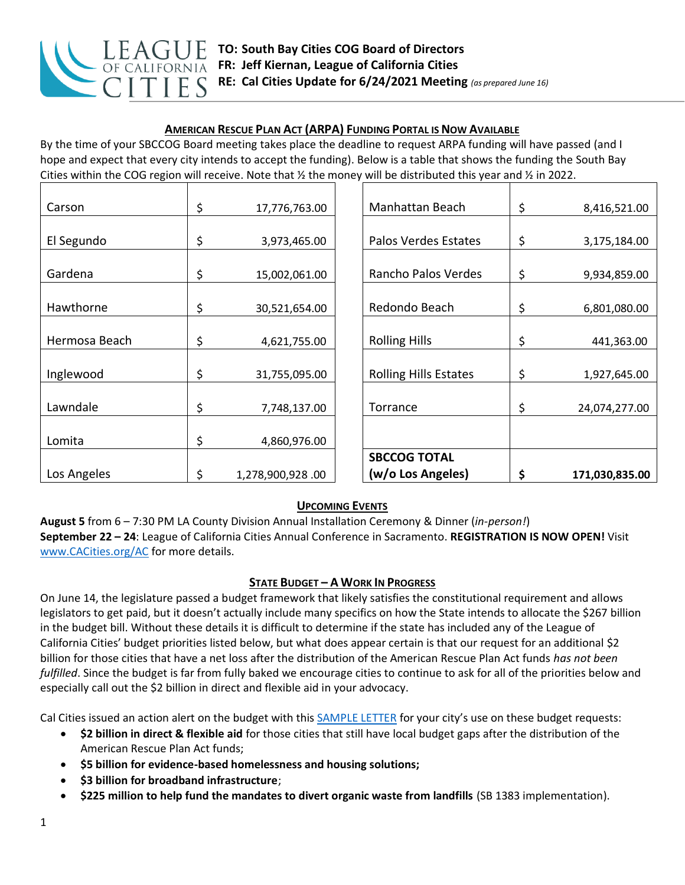

## **AMERICAN RESCUE PLAN ACT (ARPA) FUNDING PORTAL IS NOW AVAILABLE**

By the time of your SBCCOG Board meeting takes place the deadline to request ARPA funding will have passed (and I hope and expect that every city intends to accept the funding). Below is a table that shows the funding the South Bay Cities within the COG region will receive. Note that  $\frac{1}{2}$  the money will be distributed this year and  $\frac{1}{2}$  in 2022.

| Carson        | \$<br>17,776,763.00    | Manhattan Beach              | \$<br>8,416,521.00   |
|---------------|------------------------|------------------------------|----------------------|
|               |                        |                              |                      |
| El Segundo    | \$<br>3,973,465.00     | Palos Verdes Estates         | \$<br>3,175,184.00   |
|               |                        |                              |                      |
| Gardena       | \$<br>15,002,061.00    | Rancho Palos Verdes          | \$<br>9,934,859.00   |
|               |                        |                              |                      |
| Hawthorne     | \$<br>30,521,654.00    | Redondo Beach                | \$<br>6,801,080.00   |
|               |                        |                              |                      |
| Hermosa Beach | \$<br>4,621,755.00     | <b>Rolling Hills</b>         | \$<br>441,363.00     |
|               |                        |                              |                      |
| Inglewood     | \$<br>31,755,095.00    | <b>Rolling Hills Estates</b> | \$<br>1,927,645.00   |
|               |                        |                              |                      |
| Lawndale      | \$<br>7,748,137.00     | Torrance                     | \$<br>24,074,277.00  |
|               |                        |                              |                      |
| Lomita        | \$<br>4,860,976.00     |                              |                      |
|               |                        | <b>SBCCOG TOTAL</b>          |                      |
| Los Angeles   | \$<br>1,278,900,928.00 | (w/o Los Angeles)            | \$<br>171,030,835.00 |

### **UPCOMING EVENTS**

**August 5** from 6 – 7:30 PM LA County Division Annual Installation Ceremony & Dinner (*in-person!*) **September 22 – 24**: League of California Cities Annual Conference in Sacramento. **REGISTRATION IS NOW OPEN!** Visit [www.CACities.org/AC](http://www.cacities.org/AC) for more details.

### **STATE BUDGET – A WORK IN PROGRESS**

On June 14, the legislature passed a budget framework that likely satisfies the constitutional requirement and allows legislators to get paid, but it doesn't actually include many specifics on how the State intends to allocate the \$267 billion in the budget bill. Without these details it is difficult to determine if the state has included any of the League of California Cities' budget priorities listed below, but what does appear certain is that our request for an additional \$2 billion for those cities that have a net loss after the distribution of the American Rescue Plan Act funds *has not been fulfilled*. Since the budget is far from fully baked we encourage cities to continue to ask for all of the priorities below and especially call out the \$2 billion in direct and flexible aid in your advocacy.

Cal Cities issued an action alert on the budget with thi[s SAMPLE LETTER](https://www.cacities.org/Resources-Documents/Policy-Advocacy-Section/Action-Center/SAMPLE-LETTER-ACTION-ALERT-Budget-Ask-to-the-Legis.aspx) for your city's use on these budget requests:

- **\$2 billion in direct & flexible aid** for those cities that still have local budget gaps after the distribution of the American Rescue Plan Act funds;
- **\$5 billion for evidence-based homelessness and housing solutions;**
- **\$3 billion for broadband infrastructure**;
- **\$225 million to help fund the mandates to divert organic waste from landfills** (SB 1383 implementation).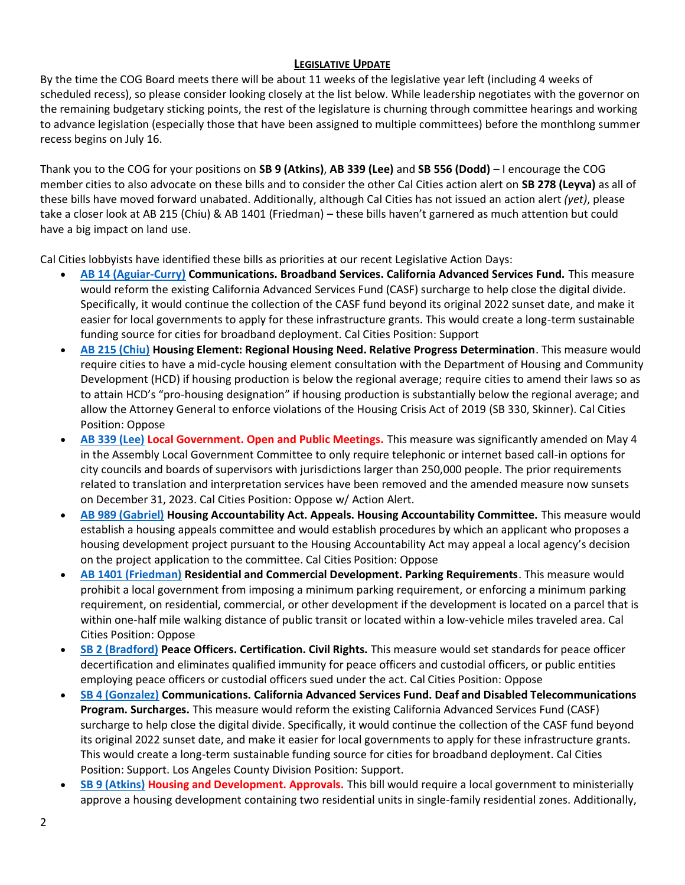#### **LEGISLATIVE UPDATE**

By the time the COG Board meets there will be about 11 weeks of the legislative year left (including 4 weeks of scheduled recess), so please consider looking closely at the list below. While leadership negotiates with the governor on the remaining budgetary sticking points, the rest of the legislature is churning through committee hearings and working to advance legislation (especially those that have been assigned to multiple committees) before the monthlong summer recess begins on July 16.

Thank you to the COG for your positions on **SB 9 (Atkins)**, **AB 339 (Lee)** and **SB 556 (Dodd)** – I encourage the COG member cities to also advocate on these bills and to consider the other Cal Cities action alert on **SB 278 (Leyva)** as all of these bills have moved forward unabated. Additionally, although Cal Cities has not issued an action alert *(yet)*, please take a closer look at AB 215 (Chiu) & AB 1401 (Friedman) – these bills haven't garnered as much attention but could have a big impact on land use.

Cal Cities lobbyists have identified these bills as priorities at our recent Legislative Action Days:

- **[AB 14 \(Aguiar-Curry\)](http://r20.rs6.net/tn.jsp?f=001OdeEqPmDZ7qEXIagUtmznAo6xcbTt2h2t7vFbda4edTeLnlK3EKL0DI0EckOZPwuIuGBODVpDjgbJSqKCcN7M-8UgMp4oSMvifkY1FKVb1J6dXOhmAEAJToqpfncoqnuISpfVaKOkllPGrNA4MlP-3gCdhX3Ygaw9XFrXc2qbKX7Ae5YdgsTJ1WcAr0xbLbj7qy3629yh376q-RV7MF1mub6qYLZc1sCqz-EpzoAjZc_kSFimdiVltmHHmdvzXx0TOaHFrP-99efBO_1JFOVerrOEgWOEcLKpYDJ1ffhaVI=&c=BVnxiTVlJnbG6yF-t7F3niBo5WQVtQbK1xBz4DPRAgSuXRy6AX5gYQ==&ch=TQ33t0aUWuOHZnUA0cFQoAo72h-NfcvY7oaEcGb5RLL1UM2Qadlmkw==&jrc=1) Communications. Broadband Services. California Advanced Services Fund.** This measure would reform the existing California Advanced Services Fund (CASF) surcharge to help close the digital divide. Specifically, it would continue the collection of the CASF fund beyond its original 2022 sunset date, and make it easier for local governments to apply for these infrastructure grants. This would create a long-term sustainable funding source for cities for broadband deployment. Cal Cities Position: Support
- **[AB 215 \(Chiu\)](http://r20.rs6.net/tn.jsp?f=001OdeEqPmDZ7qEXIagUtmznAo6xcbTt2h2t7vFbda4edTeLnlK3EKL0DI0EckOZPwuW9orJXUYwVeZp1tcQzTWOMkCvObq5pFt06aWSdZOwCY1J94E1NJQplt86brbFLgn4a8wlOb4_mvgmxxD673tpPJzygqnbSrHgDJCgYcTP-23Lw7tokKiVVE9blfQDhO6qLBlgbCO3L3Qg2OmMPehK6lqxwJTl_-8CYNV52c177gXtx_ZQx4jsYrAdCaY6AbpPyCt7uLlXHmMzNfFRxi57SmVl7JNSu6zHs-CwZRnuso=&c=BVnxiTVlJnbG6yF-t7F3niBo5WQVtQbK1xBz4DPRAgSuXRy6AX5gYQ==&ch=TQ33t0aUWuOHZnUA0cFQoAo72h-NfcvY7oaEcGb5RLL1UM2Qadlmkw==&jrc=1) Housing Element: Regional Housing Need. Relative Progress Determination**. This measure would require cities to have a mid-cycle housing element consultation with the Department of Housing and Community Development (HCD) if housing production is below the regional average; require cities to amend their laws so as to attain HCD's "pro-housing designation" if housing production is substantially below the regional average; and allow the Attorney General to enforce violations of the Housing Crisis Act of 2019 (SB 330, Skinner). Cal Cities Position: Oppose
- **[AB 339 \(Lee\)](http://r20.rs6.net/tn.jsp?f=001OdeEqPmDZ7qEXIagUtmznAo6xcbTt2h2t7vFbda4edTeLnlK3EKL0DI0EckOZPwuiqre_iQfbsFAU7Uouc5LoXNzoe95b1JpueQv54wrZwk_GCTs9WPz5zcjDlPfXTu7-RQiZqo9T2c9P5i3G1KiLKiOAgn6kPLivGF7a43TkDxW2UhcKlcQdQ8tphWmUthTh8fbyioQF40CwqB-mKihzNFmm-uI_x2ESXCrGglnH5EqqTlj9V-t0MeGf-mM2cFT701jYQfUEy-93YtR30nfqRh6lM9jqAoXihGn4ivkThI=&c=BVnxiTVlJnbG6yF-t7F3niBo5WQVtQbK1xBz4DPRAgSuXRy6AX5gYQ==&ch=TQ33t0aUWuOHZnUA0cFQoAo72h-NfcvY7oaEcGb5RLL1UM2Qadlmkw==&jrc=1) Local Government. Open and Public Meetings.** This measure was significantly amended on May 4 in the Assembly Local Government Committee to only require telephonic or internet based call-in options for city councils and boards of supervisors with jurisdictions larger than 250,000 people. The prior requirements related to translation and interpretation services have been removed and the amended measure now sunsets on December 31, 2023. Cal Cities Position: Oppose w/ Action Alert.
- **[AB 989 \(Gabriel\)](http://r20.rs6.net/tn.jsp?f=001OdeEqPmDZ7qEXIagUtmznAo6xcbTt2h2t7vFbda4edTeLnlK3EKL0DI0EckOZPwuVJiEHMrvQKvIuLHGR2_NnVbTMtDzBpOLDgD3Lq-Fl3-KEv3EOdw8JmFqJkxDQLhE0b0viSLyrziSAT4rlFe8-sNHHgguCmW0kShK-3XVla2Ls3EAulp9YhpLvOVTTipDuDekDlRpdjgy8I6tt4EjRgQhKl5wQllkYqPZ_qAMQ0qiTgvwqWFYY1Xl7khXITRlro98UVwt4yWBZKDs1E1oNw3PPyYE3oqhHC7n6HXZevk=&c=BVnxiTVlJnbG6yF-t7F3niBo5WQVtQbK1xBz4DPRAgSuXRy6AX5gYQ==&ch=TQ33t0aUWuOHZnUA0cFQoAo72h-NfcvY7oaEcGb5RLL1UM2Qadlmkw==&jrc=1) Housing Accountability Act. Appeals. Housing Accountability Committee.** This measure would establish a housing appeals committee and would establish procedures by which an applicant who proposes a housing development project pursuant to the Housing Accountability Act may appeal a local agency's decision on the project application to the committee. Cal Cities Position: Oppose
- **[AB 1401 \(Friedman\)](http://r20.rs6.net/tn.jsp?f=001OdeEqPmDZ7qEXIagUtmznAo6xcbTt2h2t7vFbda4edTeLnlK3EKL0DI0EckOZPwueFuYM2FkCY4jGMy_TDPAh5-qlswAY4Rkfyd6Au-7V6ZAcxN8Eh6KoiBKRGOlZNgPaeMKDeHwRJE57O67u8f-Mu6cHw9QYaBkndwdZ7nSqMfGF9lDAp8INciQGtLjL5G0lG2e2aISR9GefkD6cg7FhCUzTXtrqw3KN9MMh5X8uMo-uh_lA9FZqK4S1qLPrZqrsfnCBiFy1DDit4mF5OhossWDQGoLNg7H0sxyygoPYPs=&c=BVnxiTVlJnbG6yF-t7F3niBo5WQVtQbK1xBz4DPRAgSuXRy6AX5gYQ==&ch=TQ33t0aUWuOHZnUA0cFQoAo72h-NfcvY7oaEcGb5RLL1UM2Qadlmkw==&jrc=1) Residential and Commercial Development. Parking Requirements**. This measure would prohibit a local government from imposing a minimum parking requirement, or enforcing a minimum parking requirement, on residential, commercial, or other development if the development is located on a parcel that is within one-half mile walking distance of public transit or located within a low-vehicle miles traveled area. Cal Cities Position: Oppose
- **SB [2 \(Bradford\)](http://r20.rs6.net/tn.jsp?f=001OdeEqPmDZ7qEXIagUtmznAo6xcbTt2h2t7vFbda4edTeLnlK3EKL0DI0EckOZPwu3vAqQdCZ16EP7abv-5wAwY10lHMrMZJmwcqJeL4iK_X0vc9jCwwVUcMiI5eG_sSFFvw1YG0pJnZjTJUaepebep55vRuBxv8NVDntgx2maWTaETudwj61kKI4tSOiQXuzMDxXpMqpSkK9qOrkWSLT83hOww4EfVbGyUrNLLjgnr38aMRSJUq6tcLJGFCSvPbAOwfSOOMldzbcPGLeylqvpP5p3iWBPt4YTVaL_qsBC9k=&c=BVnxiTVlJnbG6yF-t7F3niBo5WQVtQbK1xBz4DPRAgSuXRy6AX5gYQ==&ch=TQ33t0aUWuOHZnUA0cFQoAo72h-NfcvY7oaEcGb5RLL1UM2Qadlmkw==&jrc=1) Peace Officers. Certification. Civil Rights.** This measure would set standards for peace officer decertification and eliminates qualified immunity for peace officers and custodial officers, or public entities employing peace officers or custodial officers sued under the act. Cal Cities Position: Oppose
- **[SB 4 \(Gonzalez\)](http://r20.rs6.net/tn.jsp?f=001OdeEqPmDZ7qEXIagUtmznAo6xcbTt2h2t7vFbda4edTeLnlK3EKL0DI0EckOZPwu4TTdY3chBG1CBRAudYNP9RblsnkyBTsZVlkMiKO3exj1uXoeuyLujLnj36PO8_M0j_0eEEnNd5nNgPHHFcZSpVusbTxw1IvD68fjgLtdAiX1agRZUSjJFzMDf07q-bblQ690s2Lf-LZCbl3UnyUwVPJ4zwhYdk-Ts4MaG5ZmP-zBaYUP9rTMaEEinod6MpIIV81_R2MGM2tgCOv84pQ4laeg5nYHDNTEwsR3E7U8uQ0=&c=BVnxiTVlJnbG6yF-t7F3niBo5WQVtQbK1xBz4DPRAgSuXRy6AX5gYQ==&ch=TQ33t0aUWuOHZnUA0cFQoAo72h-NfcvY7oaEcGb5RLL1UM2Qadlmkw==&jrc=1) Communications. California Advanced Services Fund. Deaf and Disabled Telecommunications Program. Surcharges.** This measure would reform the existing California Advanced Services Fund (CASF) surcharge to help close the digital divide. Specifically, it would continue the collection of the CASF fund beyond its original 2022 sunset date, and make it easier for local governments to apply for these infrastructure grants. This would create a long-term sustainable funding source for cities for broadband deployment. Cal Cities Position: Support. Los Angeles County Division Position: Support.
- **[SB 9 \(Atkins\)](http://r20.rs6.net/tn.jsp?f=001OdeEqPmDZ7qEXIagUtmznAo6xcbTt2h2t7vFbda4edTeLnlK3EKL0DI0EckOZPwuKhNTFoV4CWshd893ExM_5BEuxVfhjlg0qf7vwvDay5VXad8YKjvmAUdRimD3rt093yiY2jOzHCPnNGAWZAbH4_KNYcygvHpXjRpIQM6zEmPAgsQqt-PJija5dvKQ1iwGZAMvX9Dx7kVXi-4P7kpX5KQ5gfI8fbnpM7Iq59zhAsotc35Fvvkws69uBPgA_inN0NFubLGwVw4LkkTT1vuhtxQ4i8jQ4XHI4ct-Grlahb8=&c=BVnxiTVlJnbG6yF-t7F3niBo5WQVtQbK1xBz4DPRAgSuXRy6AX5gYQ==&ch=TQ33t0aUWuOHZnUA0cFQoAo72h-NfcvY7oaEcGb5RLL1UM2Qadlmkw==&jrc=1) Housing and Development. Approvals.** This bill would require a local government to ministerially approve a housing development containing two residential units in single-family residential zones. Additionally,